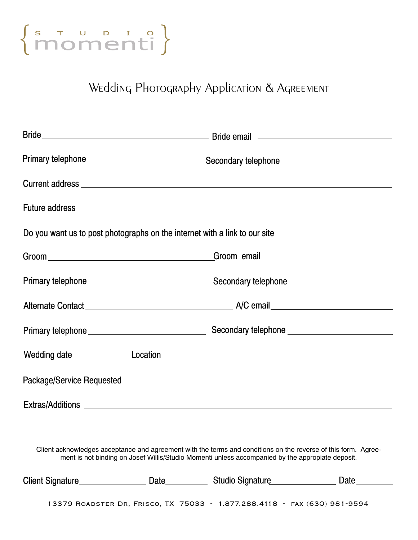

## Wedding Photography Application & Agreement

|                                                                                                                                                                                                                    | Primary telephone _________________________________Secondary telephone ____________________________ |  |  |
|--------------------------------------------------------------------------------------------------------------------------------------------------------------------------------------------------------------------|-----------------------------------------------------------------------------------------------------|--|--|
|                                                                                                                                                                                                                    |                                                                                                     |  |  |
| Future address experience and the set of the set of the set of the set of the set of the set of the set of the                                                                                                     |                                                                                                     |  |  |
| Do you want us to post photographs on the internet with a link to our site <u>entitled and the second of the second</u>                                                                                            |                                                                                                     |  |  |
|                                                                                                                                                                                                                    |                                                                                                     |  |  |
|                                                                                                                                                                                                                    |                                                                                                     |  |  |
|                                                                                                                                                                                                                    |                                                                                                     |  |  |
|                                                                                                                                                                                                                    |                                                                                                     |  |  |
|                                                                                                                                                                                                                    |                                                                                                     |  |  |
|                                                                                                                                                                                                                    |                                                                                                     |  |  |
|                                                                                                                                                                                                                    |                                                                                                     |  |  |
|                                                                                                                                                                                                                    |                                                                                                     |  |  |
| Client acknowledges acceptance and agreement with the terms and conditions on the reverse of this form. Agree-<br>ment is not binding on Josef Willis/Studio Momenti unless accompanied by the appropiate deposit. |                                                                                                     |  |  |

| Client Signature_                                                         | Date | Studio Signature | Date |
|---------------------------------------------------------------------------|------|------------------|------|
| 13379 ROADSTER DR, FRISCO, TX 75033 - 1.877.288.4118 - FAX (630) 981-9594 |      |                  |      |